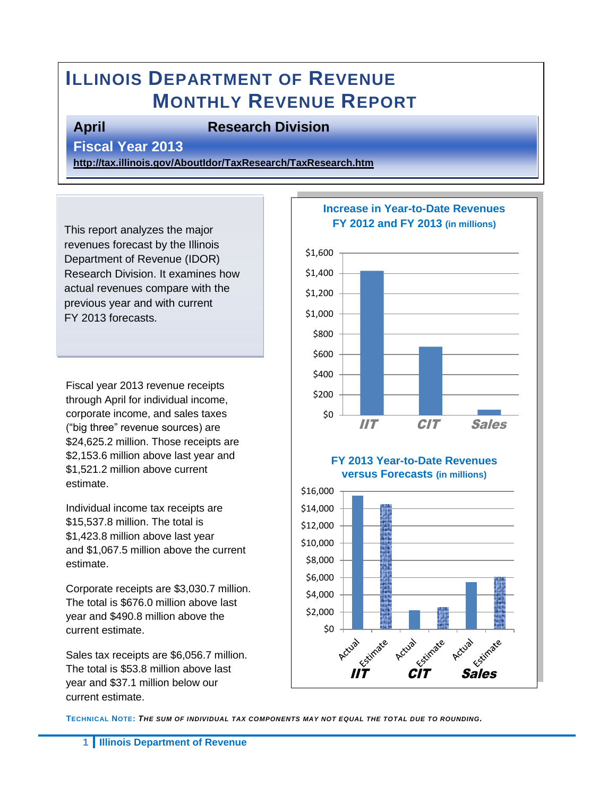# **ILLINOIS DEPARTMENT OF REVENUE MONTHLY REVENUE REPORT**

#### **April Research Division**

**Fiscal Year 2013** 

**<http://tax.illinois.gov/AboutIdor/TaxResearch/TaxResearch.htm>**

This report analyzes the major revenues forecast by the Illinois Department of Revenue (IDOR) Research Division. It examines how actual revenues compare with the previous year and with current FY 2013 forecasts.

Fiscal year 2013 revenue receipts through April for individual income, corporate income, and sales taxes ("big three" revenue sources) are \$24,625.2 million. Those receipts are \$2,153.6 million above last year and \$1,521.2 million above current estimate.

Individual income tax receipts are \$15,537.8 million. The total is \$1,423.8 million above last year and \$1,067.5 million above the current estimate.

Corporate receipts are \$3,030.7 million. The total is \$676.0 million above last year and \$490.8 million above the current estimate.

Sales tax receipts are \$6,056.7 million. The total is \$53.8 million above last year and \$37.1 million below our current estimate.



**TECHNICAL NOTE:** *THE SUM OF INDIVIDUAL TAX COMPONENTS MAY NOT EQUAL THE TOTAL DUE TO ROUNDING.*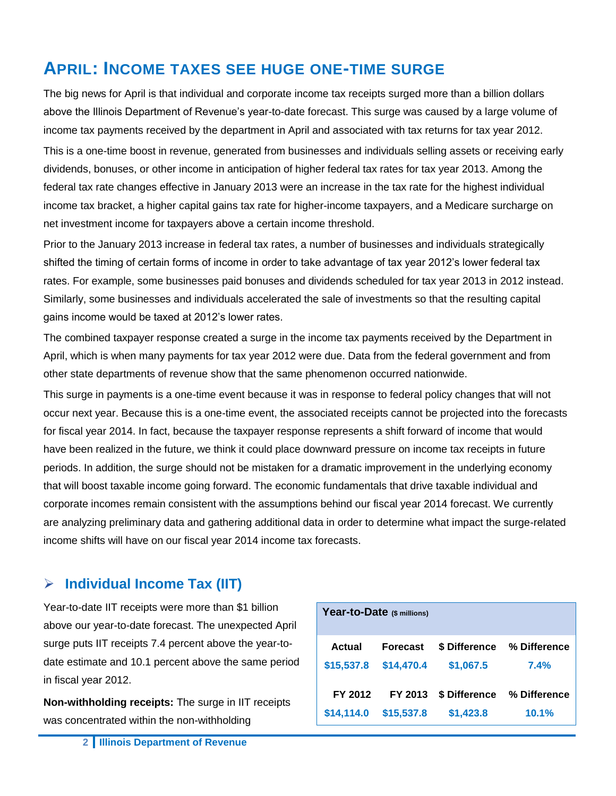## **APRIL: INCOME TAXES SEE HUGE ONE-TIME SURGE**

The big news for April is that individual and corporate income tax receipts surged more than a billion dollars above the Illinois Department of Revenue's year-to-date forecast. This surge was caused by a large volume of income tax payments received by the department in April and associated with tax returns for tax year 2012. This is a one-time boost in revenue, generated from businesses and individuals selling assets or receiving early dividends, bonuses, or other income in anticipation of higher federal tax rates for tax year 2013. Among the federal tax rate changes effective in January 2013 were an increase in the tax rate for the highest individual income tax bracket, a higher capital gains tax rate for higher-income taxpayers, and a Medicare surcharge on net investment income for taxpayers above a certain income threshold.

Prior to the January 2013 increase in federal tax rates, a number of businesses and individuals strategically shifted the timing of certain forms of income in order to take advantage of tax year 2012's lower federal tax rates. For example, some businesses paid bonuses and dividends scheduled for tax year 2013 in 2012 instead. Similarly, some businesses and individuals accelerated the sale of investments so that the resulting capital gains income would be taxed at 2012's lower rates.

The combined taxpayer response created a surge in the income tax payments received by the Department in April, which is when many payments for tax year 2012 were due. Data from the federal government and from other state departments of revenue show that the same phenomenon occurred nationwide.

This surge in payments is a one-time event because it was in response to federal policy changes that will not occur next year. Because this is a one-time event, the associated receipts cannot be projected into the forecasts for fiscal year 2014. In fact, because the taxpayer response represents a shift forward of income that would have been realized in the future, we think it could place downward pressure on income tax receipts in future periods. In addition, the surge should not be mistaken for a dramatic improvement in the underlying economy that will boost taxable income going forward. The economic fundamentals that drive taxable individual and corporate incomes remain consistent with the assumptions behind our fiscal year 2014 forecast. We currently are analyzing preliminary data and gathering additional data in order to determine what impact the surge-related income shifts will have on our fiscal year 2014 income tax forecasts.

#### **Individual Income Tax (IIT)**

Year-to-date IIT receipts were more than \$1 billion above our year-to-date forecast. The unexpected April surge puts IIT receipts 7.4 percent above the year-todate estimate and 10.1 percent above the same period in fiscal year 2012.

**Non-withholding receipts:** The surge in IIT receipts was concentrated within the non-withholding

| Year-to-Date (\$ millions) |                 |               |              |  |  |  |
|----------------------------|-----------------|---------------|--------------|--|--|--|
| Actual                     | <b>Forecast</b> | \$ Difference | % Difference |  |  |  |
| \$15,537.8                 | \$14,470.4      | \$1,067.5     | 7.4%         |  |  |  |
| FY 2012                    | FY 2013         | \$ Difference | % Difference |  |  |  |
| \$14,114.0                 | \$15,537.8      | \$1,423.8     | 10.1%        |  |  |  |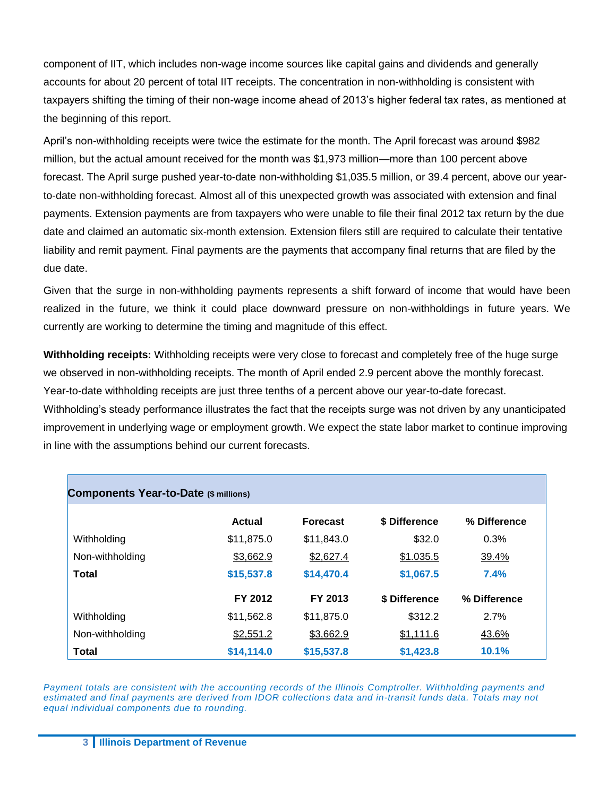component of IIT, which includes non-wage income sources like capital gains and dividends and generally accounts for about 20 percent of total IIT receipts. The concentration in non-withholding is consistent with taxpayers shifting the timing of their non-wage income ahead of 2013's higher federal tax rates, as mentioned at the beginning of this report.

April's non-withholding receipts were twice the estimate for the month. The April forecast was around \$982 million, but the actual amount received for the month was \$1,973 million—more than 100 percent above forecast. The April surge pushed year-to-date non-withholding \$1,035.5 million, or 39.4 percent, above our yearto-date non-withholding forecast. Almost all of this unexpected growth was associated with extension and final payments. Extension payments are from taxpayers who were unable to file their final 2012 tax return by the due date and claimed an automatic six-month extension. Extension filers still are required to calculate their tentative liability and remit payment. Final payments are the payments that accompany final returns that are filed by the due date.

Given that the surge in non-withholding payments represents a shift forward of income that would have been realized in the future, we think it could place downward pressure on non-withholdings in future years. We currently are working to determine the timing and magnitude of this effect.

**Withholding receipts:** Withholding receipts were very close to forecast and completely free of the huge surge we observed in non-withholding receipts. The month of April ended 2.9 percent above the monthly forecast. Year-to-date withholding receipts are just three tenths of a percent above our year-to-date forecast.

Withholding's steady performance illustrates the fact that the receipts surge was not driven by any unanticipated improvement in underlying wage or employment growth. We expect the state labor market to continue improving in line with the assumptions behind our current forecasts.

| <b>Components Year-to-Date (\$ millions)</b> |            |                 |               |              |  |  |  |  |
|----------------------------------------------|------------|-----------------|---------------|--------------|--|--|--|--|
|                                              | Actual     | <b>Forecast</b> | \$ Difference | % Difference |  |  |  |  |
| Withholding                                  | \$11,875.0 | \$11,843.0      | \$32.0        | 0.3%         |  |  |  |  |
| Non-withholding                              | \$3,662.9  | \$2,627.4       | \$1.035.5     | 39.4%        |  |  |  |  |
| <b>Total</b>                                 | \$15,537.8 | \$14,470.4      | \$1,067.5     | 7.4%         |  |  |  |  |
|                                              | FY 2012    | FY 2013         | \$ Difference | % Difference |  |  |  |  |
| Withholding                                  | \$11,562.8 | \$11,875.0      | \$312.2       | 2.7%         |  |  |  |  |
| Non-withholding                              | \$2,551.2  | \$3,662.9       | \$1,111.6     | 43.6%        |  |  |  |  |
| <b>Total</b>                                 | \$14,114.0 | \$15,537.8      | \$1,423.8     | 10.1%        |  |  |  |  |

*Payment totals are consistent with the accounting records of the Illinois Comptroller. Withholding payments and estimated and final payments are derived from IDOR collections data and in-transit funds data. Totals may not equal individual components due to rounding.*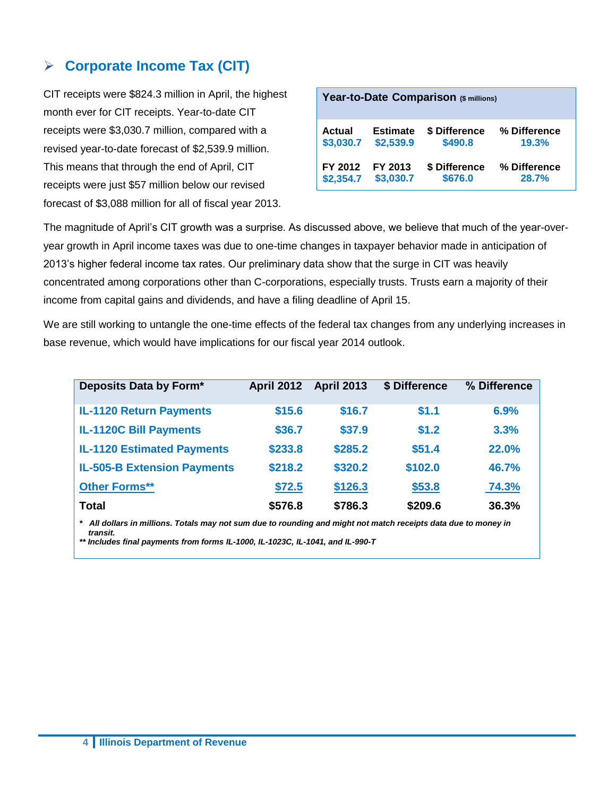#### **Corporate Income Tax (CIT)**

CIT receipts were \$824.3 million in April, the highest month ever for CIT receipts. Year-to-date CIT receipts were \$3,030.7 million, compared with a revised year-to-date forecast of \$2,539.9 million. This means that through the end of April, CIT receipts were just \$57 million below our revised forecast of \$3,088 million for all of fiscal year 2013.

| Year-to-Date Comparison (\$ millions) |                 |               |              |  |  |
|---------------------------------------|-----------------|---------------|--------------|--|--|
| Actual                                | <b>Estimate</b> | \$ Difference | % Difference |  |  |
| \$3,030.7                             | \$2,539.9       | \$490.8       | 19.3%        |  |  |
| FY 2012                               | FY 2013         | \$ Difference | % Difference |  |  |
| \$2,354.7                             | \$3,030.7       | \$676.0       | 28.7%        |  |  |

The magnitude of April's CIT growth was a surprise. As discussed above, we believe that much of the year-overyear growth in April income taxes was due to one-time changes in taxpayer behavior made in anticipation of 2013's higher federal income tax rates. Our preliminary data show that the surge in CIT was heavily concentrated among corporations other than C-corporations, especially trusts. Trusts earn a majority of their income from capital gains and dividends, and have a filing deadline of April 15.

We are still working to untangle the one-time effects of the federal tax changes from any underlying increases in base revenue, which would have implications for our fiscal year 2014 outlook.

| Deposits Data by Form*                                                                                          | <b>April 2012</b> | <b>April 2013</b> | \$ Difference | % Difference |  |  |  |
|-----------------------------------------------------------------------------------------------------------------|-------------------|-------------------|---------------|--------------|--|--|--|
| <b>IL-1120 Return Payments</b>                                                                                  | \$15.6            | \$16.7            | \$1.1         | 6.9%         |  |  |  |
| <b>IL-1120C Bill Payments</b>                                                                                   | \$36.7            | \$37.9            | \$1.2         | 3.3%         |  |  |  |
| <b>IL-1120 Estimated Payments</b>                                                                               | \$233.8           | \$285.2           | \$51.4        | <b>22.0%</b> |  |  |  |
| <b>IL-505-B Extension Payments</b>                                                                              | \$218.2           | \$320.2           | \$102.0       | 46.7%        |  |  |  |
| <b>Other Forms**</b>                                                                                            | \$72.5            | \$126.3           | \$53.8        | 74.3%        |  |  |  |
| <b>Total</b>                                                                                                    | \$576.8           | \$786.3           | \$209.6       | 36.3%        |  |  |  |
| * All dollars in millions. Totals may not sum due to rounding and might not match receipts data due to money in |                   |                   |               |              |  |  |  |

 *transit.*

*\*\* Includes final payments from forms IL-1000, IL-1023C, IL-1041, and IL-990-T*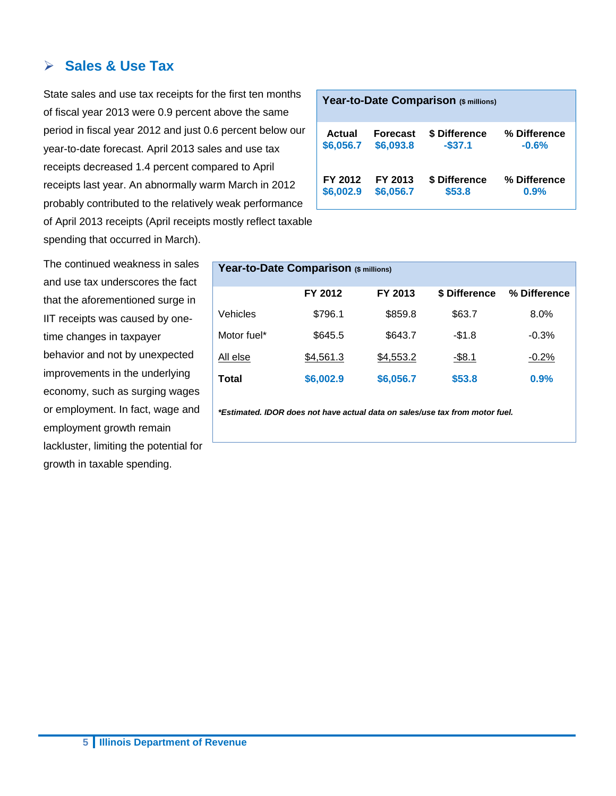#### **Sales & Use Tax**

State sales and use tax receipts for the first ten months of fiscal year 2013 were 0.9 percent above the same period in fiscal year 2012 and just 0.6 percent below our year-to-date forecast. April 2013 sales and use tax receipts decreased 1.4 percent compared to April receipts last year. An abnormally warm March in 2012 probably contributed to the relatively weak performance of April 2013 receipts (April receipts mostly reflect taxable spending that occurred in March).

The continued weakness in sales and use tax underscores the fact that the aforementioned surge in IIT receipts was caused by onetime changes in taxpayer behavior and not by unexpected improvements in the underlying economy, such as surging wages or employment. In fact, wage and employment growth remain lackluster, limiting the potential for growth in taxable spending.

| Year-to-Date Comparison (\$ millions) |           |               |              |  |  |  |
|---------------------------------------|-----------|---------------|--------------|--|--|--|
| <b>Actual</b>                         | Forecast  | \$ Difference | % Difference |  |  |  |
| \$6,056.7                             | \$6,093.8 | $-$ \$37.1    | $-0.6%$      |  |  |  |
| FY 2012                               | FY 2013   | \$ Difference | % Difference |  |  |  |
| \$6,002.9                             | \$6,056.7 | \$53.8        | 0.9%         |  |  |  |

| Year-to-Date Comparison (\$ millions) |           |           |               |              |  |  |  |
|---------------------------------------|-----------|-----------|---------------|--------------|--|--|--|
|                                       | FY 2012   | FY 2013   | \$ Difference | % Difference |  |  |  |
| Vehicles                              | \$796.1   | \$859.8   | \$63.7        | $8.0\%$      |  |  |  |
| Motor fuel*                           | \$645.5   | \$643.7   | $-$1.8$       | $-0.3%$      |  |  |  |
| All else                              | \$4,561.3 | \$4,553.2 | $-$ \$8.1     | $-0.2\%$     |  |  |  |
| Total                                 | \$6,002.9 | \$6,056.7 | \$53.8        | 0.9%         |  |  |  |

*\*Estimated. IDOR does not have actual data on sales/use tax from motor fuel.*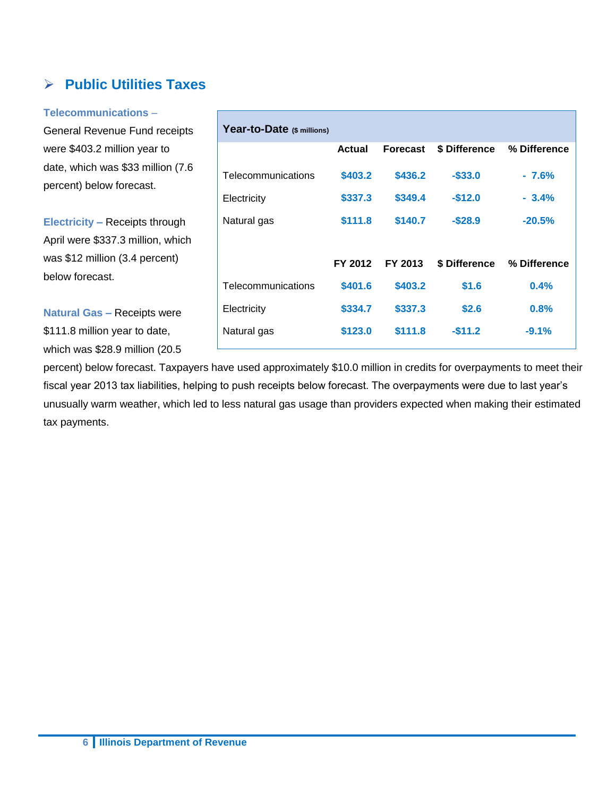### **Public Utilities Taxes**

**Telecommunications** –

General Revenue Fund receipts were \$403.2 million year to date, which was \$33 million (7.6 percent) below forecast.

**Electricity –** Receipts through April were \$337.3 million, which was \$12 million (3.4 percent) below forecast.

**Natural Gas –** Receipts were \$111.8 million year to date, which was \$28.9 million (20.5

| Year-to-Date (\$ millions) |         |                 |               |              |
|----------------------------|---------|-----------------|---------------|--------------|
|                            | Actual  | <b>Forecast</b> | \$ Difference | % Difference |
| Telecommunications         | \$403.2 | \$436.2         | $-$ \$33.0    | $-7.6%$      |
| Electricity                | \$337.3 | \$349.4         | $-$12.0$      | $-3.4%$      |
| Natural gas                | \$111.8 | \$140.7         | $-$28.9$      | $-20.5%$     |
|                            |         |                 |               |              |
|                            | FY 2012 | FY 2013         | \$ Difference | % Difference |
| Telecommunications         | \$401.6 | \$403.2         | \$1.6         | 0.4%         |
| Electricity                | \$334.7 | \$337.3         | \$2.6         | 0.8%         |
| Natural gas                | \$123.0 | \$111.8         | $-511.2$      | $-9.1%$      |
|                            |         |                 |               |              |

percent) below forecast. Taxpayers have used approximately \$10.0 million in credits for overpayments to meet their fiscal year 2013 tax liabilities, helping to push receipts below forecast. The overpayments were due to last year's unusually warm weather, which led to less natural gas usage than providers expected when making their estimated tax payments.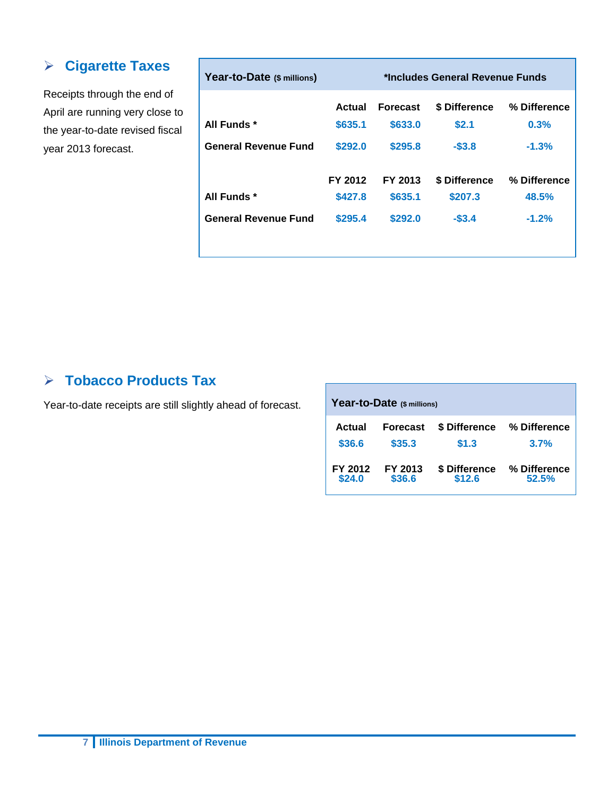#### **Cigarette Taxes**

Receipts through the end of April are running very close to the year-to-date revised fiscal year 2013 forecast.

| Year-to-Date (\$ millions)  | *Includes General Revenue Funds |                 |               |              |  |
|-----------------------------|---------------------------------|-----------------|---------------|--------------|--|
|                             | Actual                          | <b>Forecast</b> | \$ Difference | % Difference |  |
| All Funds *                 | \$635.1                         | \$633.0         | \$2.1         | 0.3%         |  |
| <b>General Revenue Fund</b> | \$292.0                         | \$295.8         | $-$3.8$       | $-1.3%$      |  |
|                             | FY 2012                         | FY 2013         | \$ Difference | % Difference |  |
| All Funds *                 | \$427.8                         | \$635.1         | \$207.3       | 48.5%        |  |
| <b>General Revenue Fund</b> | \$295.4                         | \$292.0         | $-$3.4$       | $-1.2%$      |  |
|                             |                                 |                 |               |              |  |

#### **Tobacco Products Tax**

Year-to-date receipts are still slightly ahead of forecast.

| Year-to-Date (\$ millions) |                 |                      |              |  |  |  |
|----------------------------|-----------------|----------------------|--------------|--|--|--|
| Actual                     | <b>Forecast</b> | <b>\$ Difference</b> | % Difference |  |  |  |
| \$36.6                     | \$35.3          | \$1.3                | 3.7%         |  |  |  |
| FY 2012                    | FY 2013         | \$ Difference        | % Difference |  |  |  |
| \$24.0                     | \$36.6          | \$12.6               | 52.5%        |  |  |  |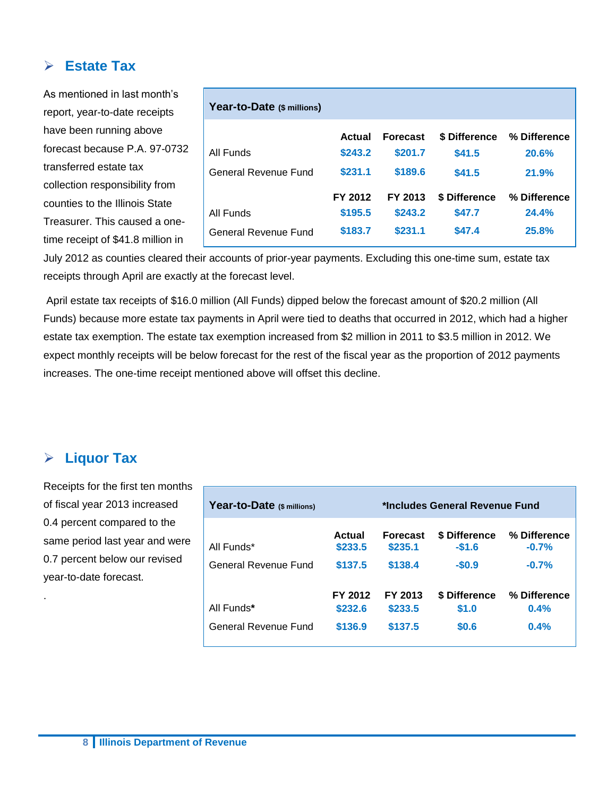#### **Estate Tax**

As mentioned in last month's report, year-to-date receipts have been running above forecast because P.A. 97-0732 transferred estate tax collection responsibility from counties to the Illinois State Treasurer. This caused a onetime receipt of \$41.8 million in **Year-to-Date (\$ millions) Actual Forecast \$ Difference % Difference** All Funds **\$243.2 \$201.7 \$41.5 20.6%** General Revenue Fund **\$231.1 \$189.6 \$41.5 21.9% FY 2012 FY 2013 \$ Difference % Difference** All Funds General Revenue Fund **\$195.5 \$183.7 \$243.2 \$231.1 \$47.7 \$47.4 24.4% 25.8%**

July 2012 as counties cleared their accounts of prior-year payments. Excluding this one-time sum, estate tax receipts through April are exactly at the forecast level.

April estate tax receipts of \$16.0 million (All Funds) dipped below the forecast amount of \$20.2 million (All Funds) because more estate tax payments in April were tied to deaths that occurred in 2012, which had a higher estate tax exemption. The estate tax exemption increased from \$2 million in 2011 to \$3.5 million in 2012. We expect monthly receipts will be below forecast for the rest of the fiscal year as the proportion of 2012 payments increases. The one-time receipt mentioned above will offset this decline.

#### **Liquor Tax**

.

Receipts for the first ten months of fiscal year 2013 increased 0.4 percent compared to the same period last year and were 0.7 percent below our revised year-to-date forecast.

| Year-to-Date (\$ millions) | *Includes General Revenue Fund |                            |                          |                         |
|----------------------------|--------------------------------|----------------------------|--------------------------|-------------------------|
| All Funds*                 | Actual<br>\$233.5              | <b>Forecast</b><br>\$235.1 | \$ Difference<br>$-$1.6$ | % Difference<br>$-0.7%$ |
| General Revenue Fund       | \$137.5                        | \$138.4                    | $-$0.9$                  | $-0.7%$                 |
| All Funds*                 | FY 2012<br>\$232.6             | FY 2013<br>\$233.5         | \$ Difference<br>\$1.0   | % Difference<br>0.4%    |
| General Revenue Fund       | \$136.9                        | \$137.5                    | \$0.6                    | 0.4%                    |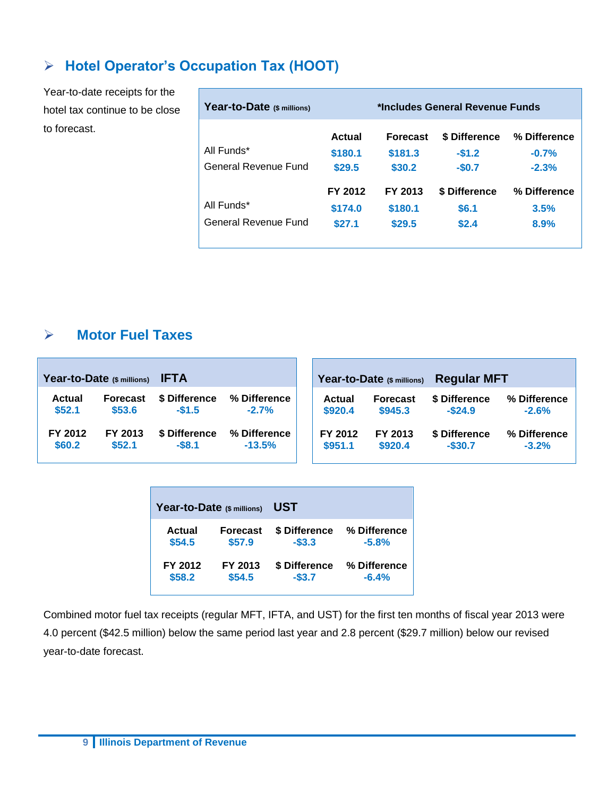## **Hotel Operator's Occupation Tax (HOOT)**

Year-to-date receipts for the hotel tax continue to be close to forecast.

| Year-to-Date (\$ millions) | *Includes General Revenue Funds |                   |                    |                    |  |
|----------------------------|---------------------------------|-------------------|--------------------|--------------------|--|
| All Funds*                 | Actual                          | <b>Forecast</b>   | \$ Difference      | % Difference       |  |
| General Revenue Fund       | \$180.1<br>\$29.5               | \$181.3<br>\$30.2 | $-$1.2$<br>$-$0.7$ | $-0.7%$<br>$-2.3%$ |  |
|                            | FY 2012                         | FY 2013           | \$ Difference      | % Difference       |  |
| All Funds*                 | \$174.0                         | \$180.1           | \$6.1              | 3.5%               |  |
| General Revenue Fund       | \$27.1                          | \$29.5            | \$2.4              | 8.9%               |  |

#### **Motor Fuel Taxes**

| <b>IFTA</b><br>Year-to-Date (\$ millions) |                 |               | Year-to-Date (\$ millions) | <b>Regular MFT</b> |                 |               |              |
|-------------------------------------------|-----------------|---------------|----------------------------|--------------------|-----------------|---------------|--------------|
| <b>Actual</b>                             | <b>Forecast</b> | \$ Difference | % Difference               | Actual             | <b>Forecast</b> | \$ Difference | % Difference |
| \$52.1                                    | \$53.6          | $-$1.5$       | $-2.7%$                    | \$920.4            | \$945.3         | $-$ \$24.9    | $-2.6%$      |
| FY 2012                                   | FY 2013         | \$ Difference | % Difference               | FY 2012            | FY 2013         | \$ Difference | % Difference |
| \$60.2                                    | \$52.1          | $-$8.1$       | $-13.5%$                   | \$951.1            | \$920.4         | $-$ \$30.7    | $-3.2%$      |

| Year-to-Date (\$ millions) |                 | <b>UST</b>    |              |  |  |  |  |
|----------------------------|-----------------|---------------|--------------|--|--|--|--|
| Actual                     | <b>Forecast</b> | \$ Difference | % Difference |  |  |  |  |
| \$54.5                     | \$57.9          | $-$3.3$       | $-5.8%$      |  |  |  |  |
| FY 2012                    | FY 2013         | \$ Difference | % Difference |  |  |  |  |
| \$58.2                     | \$54.5          | $-$ \$3.7     | $-6.4%$      |  |  |  |  |

Combined motor fuel tax receipts (regular MFT, IFTA, and UST) for the first ten months of fiscal year 2013 were 4.0 percent (\$42.5 million) below the same period last year and 2.8 percent (\$29.7 million) below our revised year-to-date forecast.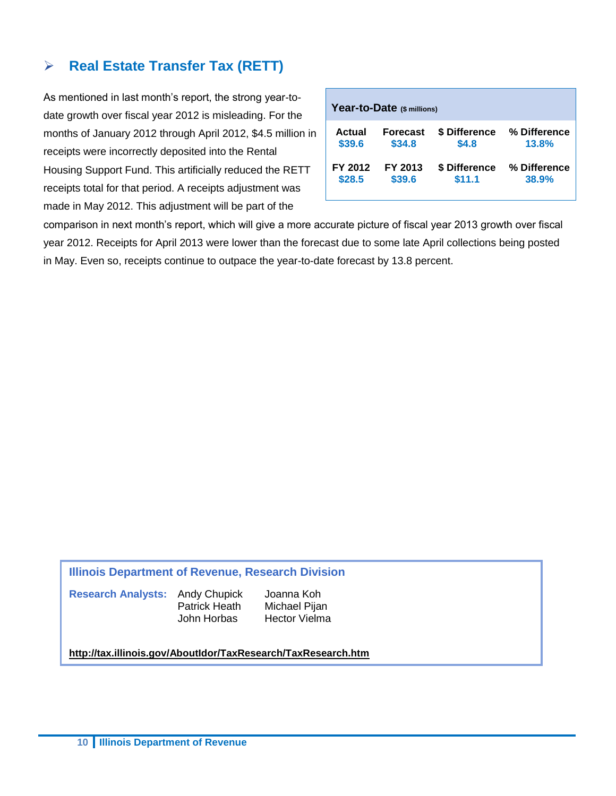#### **Real Estate Transfer Tax (RETT)**

As mentioned in last month's report, the strong year-todate growth over fiscal year 2012 is misleading. For the months of January 2012 through April 2012, \$4.5 million in receipts were incorrectly deposited into the Rental Housing Support Fund. This artificially reduced the RETT receipts total for that period. A receipts adjustment was made in May 2012. This adjustment will be part of the

| Year-to-Date (\$ millions) |                 |               |              |  |  |  |  |  |  |
|----------------------------|-----------------|---------------|--------------|--|--|--|--|--|--|
| Actual                     | <b>Forecast</b> | \$ Difference | % Difference |  |  |  |  |  |  |
| \$39.6                     | \$34.8          | \$4.8         | 13.8%        |  |  |  |  |  |  |
| FY 2012                    | FY 2013         | \$ Difference | % Difference |  |  |  |  |  |  |
| \$28.5                     | \$39.6          | \$11.1        | 38.9%        |  |  |  |  |  |  |

comparison in next month's report, which will give a more accurate picture of fiscal year 2013 growth over fiscal year 2012. Receipts for April 2013 were lower than the forecast due to some late April collections being posted in May. Even so, receipts continue to outpace the year-to-date forecast by 13.8 percent.

#### **Illinois Department of Revenue, Research Division**

**Research Analysts:** Andy Chupick Joanna Koh

Patrick Heath Michael Pijan John Horbas Hector Vielma

#### **<http://tax.illinois.gov/AboutIdor/TaxResearch/TaxResearch.htm>**